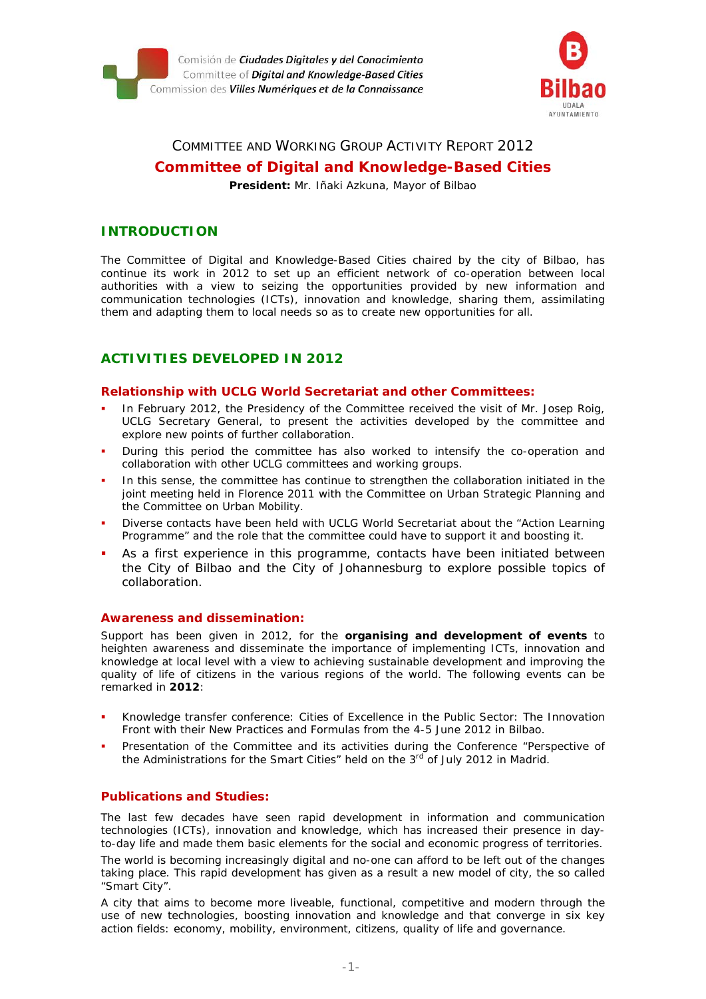



# COMMITTEE AND WORKING GROUP ACTIVITY REPORT 2012 **Committee of Digital and Knowledge-Based Cities**

**President:** Mr. Iñaki Azkuna, Mayor of Bilbao

## **INTRODUCTION**

*The Committee of Digital and Knowledge-Based Cities chaired by the city of Bilbao, has continue its work in 2012 to set up an efficient network of co-operation between local authorities with a view to seizing the opportunities provided by new information and communication technologies (ICTs), innovation and knowledge, sharing them, assimilating them and adapting them to local needs so as to create new opportunities for all.* 

# **ACTIVITIES DEVELOPED IN 2012**

#### *Relationship with UCLG World Secretariat and other Committees:*

- In February 2012, the Presidency of the Committee received the visit of Mr. Josep Roig, UCLG Secretary General, to present the activities developed by the committee and explore new points of further collaboration.
- During this period the committee has also worked to intensify the co-operation and collaboration with other UCLG committees and working groups.
- In this sense, the committee has continue to strengthen the collaboration initiated in the joint meeting held in Florence 2011 with the Committee on Urban Strategic Planning and the Committee on Urban Mobility.
- Diverse contacts have been held with UCLG World Secretariat about the "Action Learning Programme" and the role that the committee could have to support it and boosting it.
- As a first experience in this programme, contacts have been initiated between the City of Bilbao and the City of Johannesburg to explore possible topics of collaboration.

#### *Awareness and dissemination:*

Support has been given in 2012, for the **organising and development of events** to heighten awareness and disseminate the importance of implementing ICTs, innovation and knowledge at local level with a view to achieving sustainable development and improving the quality of life of citizens in the various regions of the world. The following events can be remarked in **2012**:

- Knowledge transfer conference: Cities of Excellence in the Public Sector: The Innovation Front with their New Practices and Formulas from the 4-5 June 2012 in Bilbao.
- Presentation of the Committee and its activities during the Conference "Perspective of the Administrations for the Smart Cities" held on the  $3<sup>rd</sup>$  of July 2012 in Madrid.

#### *Publications and Studies:*

The last few decades have seen rapid development in information and communication technologies (ICTs), innovation and knowledge, which has increased their presence in dayto-day life and made them basic elements for the social and economic progress of territories. The world is becoming increasingly digital and no-one can afford to be left out of the changes

taking place. This rapid development has given as a result a new model of city, the so called "Smart City". A city that aims to become more liveable, functional, competitive and modern through the

use of new technologies, boosting innovation and knowledge and that converge in six key action fields: economy, mobility, environment, citizens, quality of life and governance.